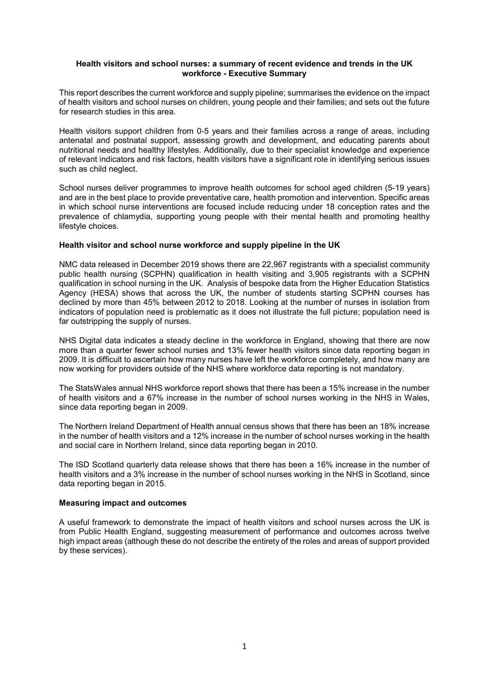## **Health visitors and school nurses: a summary of recent evidence and trends in the UK workforce - Executive Summary**

This report describes the current workforce and supply pipeline; summarises the evidence on the impact of health visitors and school nurses on children, young people and their families; and sets out the future for research studies in this area.

Health visitors support children from 0-5 years and their families across a range of areas, including antenatal and postnatal support, assessing growth and development, and educating parents about nutritional needs and healthy lifestyles. Additionally, due to their specialist knowledge and experience of relevant indicators and risk factors, health visitors have a significant role in identifying serious issues such as child neglect.

School nurses deliver programmes to improve health outcomes for school aged children (5-19 years) and are in the best place to provide preventative care, health promotion and intervention. Specific areas in which school nurse interventions are focused include reducing under 18 conception rates and the prevalence of chlamydia, supporting young people with their mental health and promoting healthy lifestyle choices.

## **Health visitor and school nurse workforce and supply pipeline in the UK**

NMC data released in December 2019 shows there are 22,967 registrants with a specialist community public health nursing (SCPHN) qualification in health visiting and 3,905 registrants with a SCPHN qualification in school nursing in the UK. Analysis of bespoke data from the Higher Education Statistics Agency (HESA) shows that across the UK, the number of students starting SCPHN courses has declined by more than 45% between 2012 to 2018. Looking at the number of nurses in isolation from indicators of population need is problematic as it does not illustrate the full picture; population need is far outstripping the supply of nurses.

NHS Digital data indicates a steady decline in the workforce in England, showing that there are now more than a quarter fewer school nurses and 13% fewer health visitors since data reporting began in 2009. It is difficult to ascertain how many nurses have left the workforce completely, and how many are now working for providers outside of the NHS where workforce data reporting is not mandatory.

The StatsWales annual NHS workforce report shows that there has been a 15% increase in the number of health visitors and a 67% increase in the number of school nurses working in the NHS in Wales, since data reporting began in 2009.

The Northern Ireland Department of Health annual census shows that there has been an 18% increase in the number of health visitors and a 12% increase in the number of school nurses working in the health and social care in Northern Ireland, since data reporting began in 2010.

The ISD Scotland quarterly data release shows that there has been a 16% increase in the number of health visitors and a 3% increase in the number of school nurses working in the NHS in Scotland, since data reporting began in 2015.

## **Measuring impact and outcomes**

A useful framework to demonstrate the impact of health visitors and school nurses across the UK is from Public Health England, suggesting measurement of performance and outcomes across twelve high impact areas (although these do not describe the entirety of the roles and areas of support provided by these services).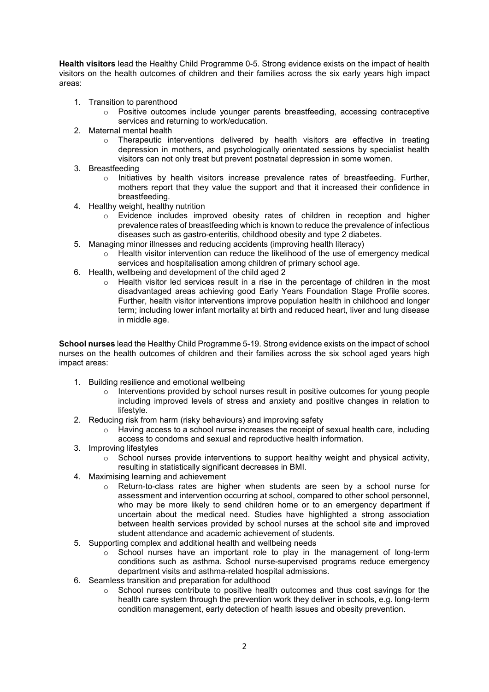**Health visitors** lead the Healthy Child Programme 0-5. Strong evidence exists on the impact of health visitors on the health outcomes of children and their families across the six early years high impact areas:

- 1. Transition to parenthood
	- o Positive outcomes include younger parents breastfeeding, accessing contraceptive services and returning to work/education*.*
- 2. Maternal mental health
	- $\circ$  Therapeutic interventions delivered by health visitors are effective in treating depression in mothers, and psychologically orientated sessions by specialist health visitors can not only treat but prevent postnatal depression in some women.
- 3. Breastfeeding
	- o Initiatives by health visitors increase prevalence rates of breastfeeding. Further, mothers report that they value the support and that it increased their confidence in breastfeeding.
- 4. Healthy weight, healthy nutrition
	- $\circ$  Evidence includes improved obesity rates of children in reception and higher prevalence rates of breastfeeding which is known to reduce the prevalence of infectious diseases such as gastro-enteritis, childhood obesity and type 2 diabetes.
- 5. Managing minor illnesses and reducing accidents (improving health literacy)
	- $\circ$  Health visitor intervention can reduce the likelihood of the use of emergency medical services and hospitalisation among children of primary school age.
- 6. Health, wellbeing and development of the child aged 2
	- $\circ$  Health visitor led services result in a rise in the percentage of children in the most disadvantaged areas achieving good Early Years Foundation Stage Profile scores. Further, health visitor interventions improve population health in childhood and longer term; including lower infant mortality at birth and reduced heart, liver and lung disease in middle age.

**School nurses** lead the Healthy Child Programme 5-19. Strong evidence exists on the impact of school nurses on the health outcomes of children and their families across the six school aged years high impact areas:

- 1. Building resilience and emotional wellbeing
	- Interventions provided by school nurses result in positive outcomes for young people including improved levels of stress and anxiety and positive changes in relation to lifestyle.
- 2. Reducing risk from harm (risky behaviours) and improving safety
	- Having access to a school nurse increases the receipt of sexual health care, including access to condoms and sexual and reproductive health information.
- 3. Improving lifestyles
	- $\circ$  School nurses provide interventions to support healthy weight and physical activity, resulting in statistically significant decreases in BMI.
- 4. Maximising learning and achievement
	- Return-to-class rates are higher when students are seen by a school nurse for assessment and intervention occurring at school, compared to other school personnel, who may be more likely to send children home or to an emergency department if uncertain about the medical need. Studies have highlighted a strong association between health services provided by school nurses at the school site and improved student attendance and academic achievement of students.
- 5. Supporting complex and additional health and wellbeing needs
	- $\circ$  School nurses have an important role to play in the management of long-term conditions such as asthma. School nurse-supervised programs reduce emergency department visits and asthma-related hospital admissions.
- 6. Seamless transition and preparation for adulthood
	- $\circ$  School nurses contribute to positive health outcomes and thus cost savings for the health care system through the prevention work they deliver in schools, e.g. long-term condition management, early detection of health issues and obesity prevention.